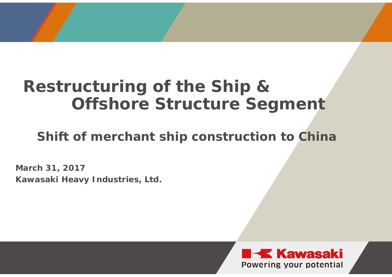# **Restructuring of the Ship & Offshore Structure Segment**

**Shift of merchant ship construction to China**

**March 31, 2017 Kawasaki Heavy Industries, Ltd.**

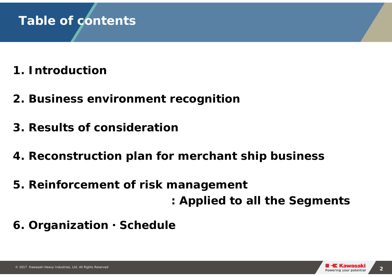#### **Table of contents**

- **1. Introduction**
- **2. Business environment recognition**
- **3. Results of consideration**
- **4. Reconstruction plan for merchant ship business**
- **5. Reinforcement of risk management**
	- **: Applied to all the Segments**
- **6. Organization**・**Schedule**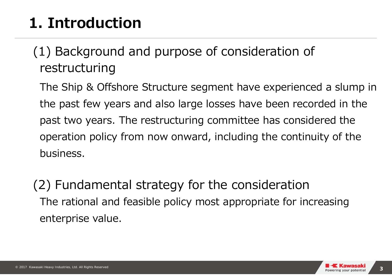# **1. Introduction**

### (1) Background and purpose of consideration of restructuring

The Ship & Offshore Structure segment have experienced a slump in the past few years and also large losses have been recorded in the past two years. The restructuring committee has considered the operation policy from now onward, including the continuity of the business.

(2) Fundamental strategy for the consideration The rational and feasible policy most appropriate for increasing enterprise value.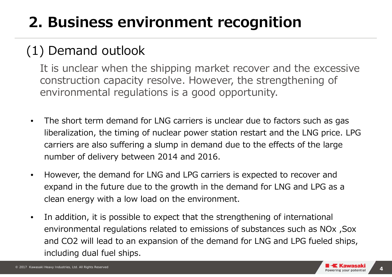# **2. Business environment recognition**

#### (1) Demand outlook

It is unclear when the shipping market recover and the excessive construction capacity resolve. However, the strengthening of environmental regulations is a good opportunity.

- $\bullet$  The short term demand for LNG carriers is unclear due to factors such as gas liberalization, the timing of nuclear power station restart and the LNG price. LPG carriers are also suffering a slump in demand due to the effects of the large number of delivery between 2014 and 2016.
- $\bullet$  However, the demand for LNG and LPG carriers is expected to recover and expand in the future due to the growth in the demand for LNG and LPG as a clean energy with a low load on the environment.
- $\bullet$  In addition, it is possible to expect that the strengthening of international environmental regulations related to emissions of substances such as NOx ,Sox and CO2 will lead to an expansion of the demand for LNG and LPG fueled ships, including dual fuel ships.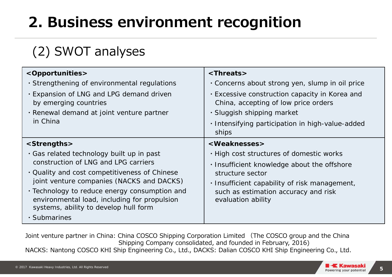# **2. Business environment recognition**

### (2) SWOT analyses

| <opportunities></opportunities>                                                                                                        | $\langle$ Threats>                                                                     |
|----------------------------------------------------------------------------------------------------------------------------------------|----------------------------------------------------------------------------------------|
| . Strengthening of environmental regulations                                                                                           | Concerns about strong yen, slump in oil price                                          |
| . Expansion of LNG and LPG demand driven<br>by emerging countries                                                                      | . Excessive construction capacity in Korea and<br>China, accepting of low price orders |
| · Renewal demand at joint venture partner                                                                                              | · Sluggish shipping market                                                             |
| in China                                                                                                                               | · Intensifying participation in high-value-added<br>ships                              |
| <strengths></strengths>                                                                                                                | <weaknesses></weaknesses>                                                              |
| . Gas related technology built up in past                                                                                              | . High cost structures of domestic works                                               |
| construction of LNG and LPG carriers                                                                                                   | . Insufficient knowledge about the offshore                                            |
| . Quality and cost competitiveness of Chinese                                                                                          | structure sector                                                                       |
| joint venture companies (NACKS and DACKS)                                                                                              | · Insufficient capability of risk management,                                          |
| • Technology to reduce energy consumption and<br>environmental load, including for propulsion<br>systems, ability to develop hull form | such as estimation accuracy and risk<br>evaluation ability                             |
| · Submarines                                                                                                                           |                                                                                        |

Joint venture partner in China: China COSCO Shipping Corporation Limited (The COSCO group and the China Shipping Company consolidated, and founded in February, 2016) NACKS: Nantong COSCO KHI Ship Engineering Co., Ltd., DACKS: Dalian COSCO KHI Ship Engineering Co., Ltd.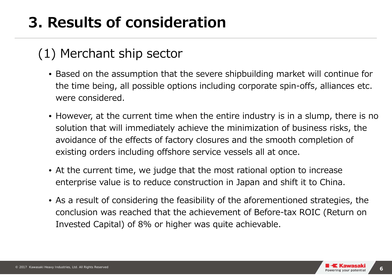# **3. Results of consideration**

#### (1) Merchant ship sector

- Based on the assumption that the severe shipbuilding market will continue for the time being, all possible options including corporate spin-offs, alliances etc. were considered.
- However, at the current time when the entire industry is in a slump, there is no solution that will immediately achieve the minimization of business risks, the avoidance of the effects of factory closures and the smooth completion of existing orders including offshore service vessels all at once.
- At the current time, we judge that the most rational option to increase enterprise value is to reduce construction in Japan and shift it to China.
- As a result of considering the feasibility of the aforementioned strategies, the conclusion was reached that the achievement of Before-tax ROIC (Return on Invested Capital) of 8% or higher was quite achievable.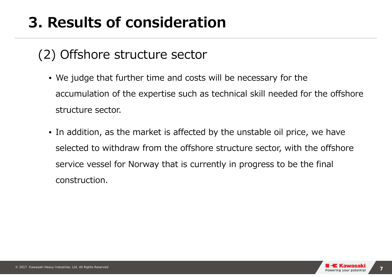# **3. Results of consideration**

#### (2) Offshore structure sector

- We judge that further time and costs will be necessary for the accumulation of the expertise such as technical skill needed for the offshore structure sector.
- In addition, as the market is affected by the unstable oil price, we have selected to withdraw from the offshore structure sector, with the offshore service vessel for Norway that is currently in progress to be the final construction.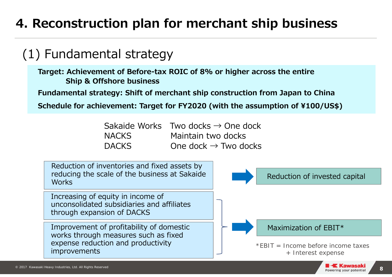#### (1) Fundamental strategy

**Target: Achievement of Before-tax ROIC of 8% or higher across the entire Ship & Offshore business**

**Fundamental strategy: Shift of merchant ship construction from Japan to China**

**Schedule for achievement: Target for FY2020 (with the assumption of ¥100/US\$)**

|              | Sakaide Works Two docks $\rightarrow$ One dock |
|--------------|------------------------------------------------|
| NACKS        | Maintain two docks                             |
| <b>DACKS</b> | One dock $\rightarrow$ Two docks               |

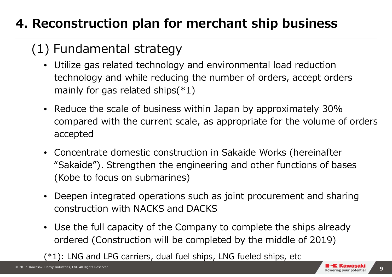### (1) Fundamental strategy

- Utilize gas related technology and environmental load reduction technology and while reducing the number of orders, accept orders mainly for gas related ships $(*1)$
- Reduce the scale of business within Japan by approximately 30% compared with the current scale, as appropriate for the volume of orders accepted
- Concentrate domestic construction in Sakaide Works (hereinafter "Sakaide"). Strengthen the engineering and other functions of bases (Kobe to focus on submarines)
- Deepen integrated operations such as joint procurement and sharing construction with NACKS and DACKS
- Use the full capacity of the Company to complete the ships already ordered (Construction will be completed by the middle of 2019)

(\*1): LNG and LPG carriers, dual fuel ships, LNG fueled ships, etc

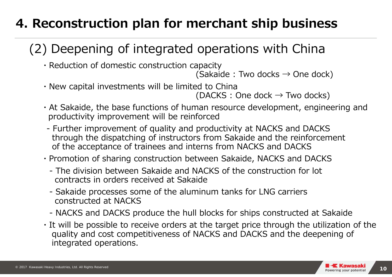### (2) Deepening of integrated operations with China

・Reduction of domestic construction capacity

(Sakaide : Two docks  $\rightarrow$  One dock)

・New capital investments will be limited to China

```
(DACKS : One dock \rightarrow Two docks)
```
- ・At Sakaide, the base functions of human resource development, engineering and productivity improvement will be reinforced
- Further improvement of quality and productivity at NACKS and DACKS through the dispatching of instructors from Sakaide and the reinforcement of the acceptance of trainees and interns from NACKS and DACKS
- ・Promotion of sharing construction between Sakaide, NACKS and DACKS
	- The division between Sakaide and NACKS of the construction for lot contracts in orders received at Sakaide
	- Sakaide processes some of the aluminum tanks for LNG carriers constructed at NACKS
	- NACKS and DACKS produce the hull blocks for ships constructed at Sakaide
- ・It will be possible to receive orders at the target price through the utilization of the quality and cost competitiveness of NACKS and DACKS and the deepening of integrated operations.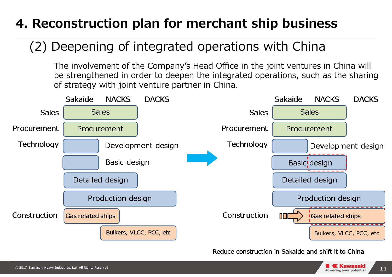#### (2) Deepening of integrated operations with China

The involvement of the Company's Head Office in the joint ventures in China will be strengthened in order to deepen the integrated operations, such as the sharing of strategy with joint venture partner in China.



Reduce construction in Sakaide and shift it to China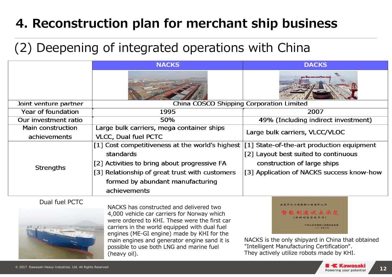#### (2) Deepening of integrated operations with China

engines (ME-GI engine) made by KHI for the main engines and generator engine sand it is possible to use both LNG and marine fuel

(heavy oil).

|                         | <b>NACKS</b>                                                                                                                                                                             | <b>DACKS</b>                                                                      |
|-------------------------|------------------------------------------------------------------------------------------------------------------------------------------------------------------------------------------|-----------------------------------------------------------------------------------|
|                         |                                                                                                                                                                                          |                                                                                   |
| Joint venture partner   | China COSCO Shipping Corporation Limited                                                                                                                                                 |                                                                                   |
| Year of foundation      | 1995                                                                                                                                                                                     | 2007                                                                              |
| Our investment ratio    | 50%                                                                                                                                                                                      | 49% (Including indirect investment)                                               |
| Main construction       | Large bulk carriers, mega container ships                                                                                                                                                | Large bulk carriers, VLCC/VLOC                                                    |
| achievements            | <b>VLCC, Dual fuel PCTC</b>                                                                                                                                                              |                                                                                   |
| <b>Strengths</b>        | [1] Cost competitiveness at the world's highest<br>standards                                                                                                                             | [1] State-of-the-art production equipment<br>[2] Layout best suited to continuous |
|                         | [2] Activities to bring about progressive FA                                                                                                                                             | construction of large ships                                                       |
|                         | [3] Relationship of great trust with customers                                                                                                                                           | [3] Application of NACKS success know-how                                         |
|                         | formed by abundant manufacturing                                                                                                                                                         |                                                                                   |
|                         | achievements                                                                                                                                                                             |                                                                                   |
| Dual fuel PCTC          |                                                                                                                                                                                          | 南通中远川崎船舶工程有限公司                                                                    |
| del agricolta a service | NACKS has constructed and delivered two<br>4,000 vehicle car carriers for Norway which<br>were ordered to KHI. These were the first car<br>carriers in the world equipped with dual fuel | 智能制造试点示范<br>共和国工业和信息化部<br>○一五年六月                                                  |

NACKS is the only shipyard in China that obtained "Intelligent Manufacturing Certification". They actively utilize robots made by KHI.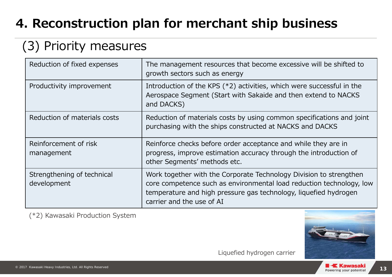### (3) Priority measures

| Reduction of fixed expenses               | The management resources that become excessive will be shifted to<br>growth sectors such as energy                                                                                                                                          |
|-------------------------------------------|---------------------------------------------------------------------------------------------------------------------------------------------------------------------------------------------------------------------------------------------|
| Productivity improvement                  | Introduction of the KPS (*2) activities, which were successful in the<br>Aerospace Segment (Start with Sakaide and then extend to NACKS<br>and DACKS)                                                                                       |
| Reduction of materials costs              | Reduction of materials costs by using common specifications and joint<br>purchasing with the ships constructed at NACKS and DACKS                                                                                                           |
| Reinforcement of risk<br>management       | Reinforce checks before order acceptance and while they are in<br>progress, improve estimation accuracy through the introduction of<br>other Segments' methods etc.                                                                         |
| Strengthening of technical<br>development | Work together with the Corporate Technology Division to strengthen<br>core competence such as environmental load reduction technology, low<br>temperature and high pressure gas technology, liquefied hydrogen<br>carrier and the use of AI |

(\*2) Kawasaki Production System

Liquefied hydrogen carrier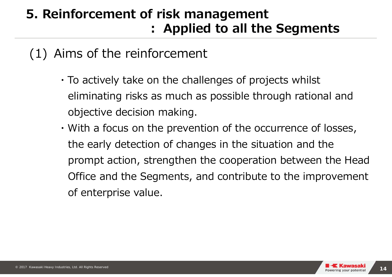### **5. Reinforcement of risk management : Applied to all the Segments**

#### (1) Aims of the reinforcement

- ・To actively take on the challenges of projects whilst eliminating risks as much as possible through rational and objective decision making.
- ・With a focus on the prevention of the occurrence of losses, the early detection of changes in the situation and the prompt action, strengthen the cooperation between the Head Office and the Segments, and contribute to the improvement of enterprise value.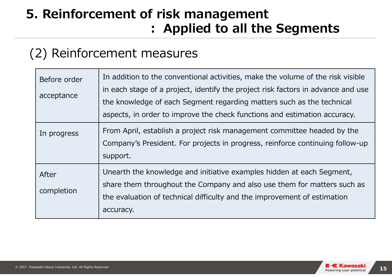### **5. Reinforcement of risk management : Applied to all the Segments**

#### (2) Reinforcement measures

| Before order<br>acceptance | In addition to the conventional activities, make the volume of the risk visible<br>in each stage of a project, identify the project risk factors in advance and use<br>the knowledge of each Segment regarding matters such as the technical<br>aspects, in order to improve the check functions and estimation accuracy. |
|----------------------------|---------------------------------------------------------------------------------------------------------------------------------------------------------------------------------------------------------------------------------------------------------------------------------------------------------------------------|
| In progress                | From April, establish a project risk management committee headed by the<br>Company's President. For projects in progress, reinforce continuing follow-up<br>support.                                                                                                                                                      |
| After<br>completion        | Unearth the knowledge and initiative examples hidden at each Segment,<br>share them throughout the Company and also use them for matters such as<br>the evaluation of technical difficulty and the improvement of estimation<br>accuracy.                                                                                 |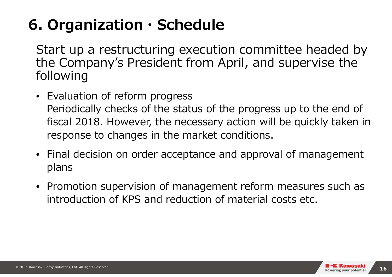## **6. Organization・Schedule**

Start up a restructuring execution committee headed by the Company's President from April, and supervise the following

- Evaluation of reform progress Periodically checks of the status of the progress up to the end of fiscal 2018. However, the necessary action will be quickly taken in response to changes in the market conditions.
- Final decision on order acceptance and approval of management plans
- Promotion supervision of management reform measures such as introduction of KPS and reduction of material costs etc.